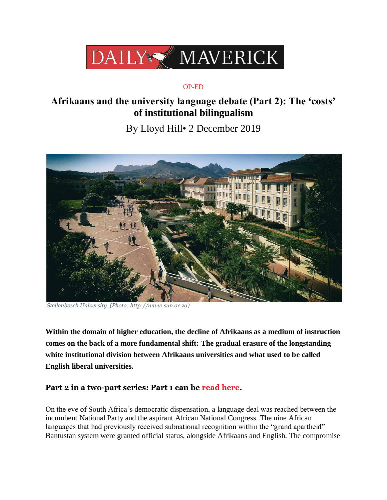

## OP-ED

# **Afrikaans and the university language debate (Part 2): The 'costs' of institutional bilingualism**

By Lloyd Hill• 2 December 2019



*Stellenbosch University. (Photo: http://www.sun.ac.za)*

**Within the domain of higher education, the decline of Afrikaans as a medium of instruction comes on the back of a more fundamental shift: The gradual erasure of the longstanding white institutional division between Afrikaans universities and what used to be called English liberal universities.**

# Part 2 in a two-part series: Part 1 can be read [here.](https://www.dailymaverick.co.za/article/2019-11-19-afrikaans-and-the-university-language-debate-exploring-the-constitutional-court-judgments/)

On the eve of South Africa"s democratic dispensation, a language deal was reached between the incumbent National Party and the aspirant African National Congress. The nine African languages that had previously received subnational recognition within the "grand apartheid" Bantustan system were granted official status, alongside Afrikaans and English. The compromise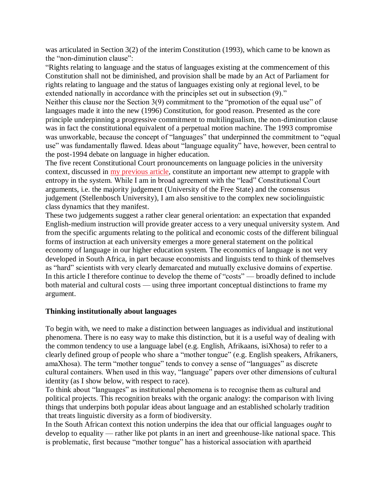was articulated in Section 3(2) of the interim Constitution (1993), which came to be known as the "non-diminution clause":

"Rights relating to language and the status of languages existing at the commencement of this Constitution shall not be diminished, and provision shall be made by an Act of Parliament for rights relating to language and the status of languages existing only at regional level, to be extended nationally in accordance with the principles set out in subsection (9)."

Neither this clause nor the Section 3(9) commitment to the "promotion of the equal use" of languages made it into the new (1996) Constitution, for good reason. Presented as the core principle underpinning a progressive commitment to multilingualism, the non-diminution clause was in fact the constitutional equivalent of a perpetual motion machine. The 1993 compromise was unworkable, because the concept of "languages" that underpinned the commitment to "equal use" was fundamentally flawed. Ideas about "language equality" have, however, been central to the post-1994 debate on language in higher education.

The five recent Constitutional Court pronouncements on language policies in the university context, discussed in [my previous article,](https://www.dailymaverick.co.za/article/2019-11-19-afrikaans-and-the-university-language-debate-exploring-the-constitutional-court-judgments/) constitute an important new attempt to grapple with entropy in the system. While I am in broad agreement with the "lead" Constitutional Court arguments, i.e. the majority judgement (University of the Free State) and the consensus judgement (Stellenbosch University), I am also sensitive to the complex new sociolinguistic class dynamics that they manifest.

These two judgements suggest a rather clear general orientation: an expectation that expanded English-medium instruction will provide greater access to a very unequal university system. And from the specific arguments relating to the political and economic costs of the different bilingual forms of instruction at each university emerges a more general statement on the political economy of language in our higher education system. The economics of language is not very developed in South Africa, in part because economists and linguists tend to think of themselves as "hard" scientists with very clearly demarcated and mutually exclusive domains of expertise. In this article I therefore continue to develop the theme of "costs" — broadly defined to include both material and cultural costs — using three important conceptual distinctions to frame my argument.

#### **Thinking institutionally about languages**

To begin with, we need to make a distinction between languages as individual and institutional phenomena. There is no easy way to make this distinction, but it is a useful way of dealing with the common tendency to use a language label (e.g. English, Afrikaans, isiXhosa) to refer to a clearly defined group of people who share a "mother tongue" (e.g. English speakers, Afrikaners, amaXhosa). The term "mother tongue" tends to convey a sense of "languages" as discrete cultural containers. When used in this way, "language" papers over other dimensions of cultural identity (as I show below, with respect to race).

To think about "languages" as institutional phenomena is to recognise them as cultural and political projects. This recognition breaks with the organic analogy: the comparison with living things that underpins both popular ideas about language and an established scholarly tradition that treats linguistic diversity as a form of biodiversity.

In the South African context this notion underpins the idea that our official languages *ought* to develop to equality — rather like pot plants in an inert and greenhouse-like national space. This is problematic, first because "mother tongue" has a historical association with apartheid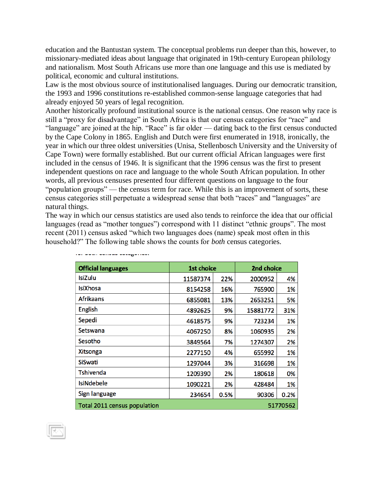education and the Bantustan system. The conceptual problems run deeper than this, however, to missionary-mediated ideas about language that originated in 19th-century European philology and nationalism. Most South Africans use more than one language and this use is mediated by political, economic and cultural institutions.

Law is the most obvious source of institutionalised languages. During our democratic transition, the 1993 and 1996 constitutions re-established common-sense language categories that had already enjoyed 50 years of legal recognition.

Another historically profound institutional source is the national census. One reason why race is still a "proxy for disadvantage" in South Africa is that our census categories for "race" and "language" are joined at the hip. "Race" is far older — dating back to the first census conducted by the Cape Colony in 1865. English and Dutch were first enumerated in 1918, ironically, the year in which our three oldest universities (Unisa, Stellenbosch University and the University of Cape Town) were formally established. But our current official African languages were first included in the census of 1946. It is significant that the 1996 census was the first to present independent questions on race and language to the whole South African population. In other words, all previous censuses presented four different questions on language to the four "population groups" — the census term for race. While this is an improvement of sorts, these census categories still perpetuate a widespread sense that both "races" and "languages" are natural things.

The way in which our census statistics are used also tends to reinforce the idea that our official languages (read as "mother tongues") correspond with 11 distinct "ethnic groups". The most recent (2011) census asked "which two languages does (name) speak most often in this household?" The following table shows the counts for *both* census categories.

| <b>Official languages</b>                | 1st choice |      | 2nd choice |      |
|------------------------------------------|------------|------|------------|------|
| IsiZulu                                  | 11587374   | 22%  | 2000952    | 4%   |
| IsiXhosa                                 | 8154258    | 16%  | 765900     | 1%   |
| <b>Afrikaans</b>                         | 6855081    | 13%  | 2653251    | 5%   |
| <b>English</b>                           | 4892625    | 9%   | 15881772   | 31%  |
| Sepedi                                   | 4618575    | 9%   | 723234     | 1%   |
| Setswana                                 | 4067250    | 8%   | 1060935    | 2%   |
| Sesotho                                  | 3849564    | 7%   | 1274307    | 2%   |
| <b>Xitsonga</b>                          | 2277150    | 4%   | 655992     | 1%   |
| SiSwati                                  | 1297044    | 3%   | 316698     | 1%   |
| Tshivenda                                | 1209390    | 2%   | 180618     | 0%   |
| <b>IsiNdebele</b>                        | 1090221    | 2%   | 428484     | 1%   |
| Sign language                            | 234654     | 0.5% | 90306      | 0.2% |
| 51770562<br>Total 2011 census population |            |      |            |      |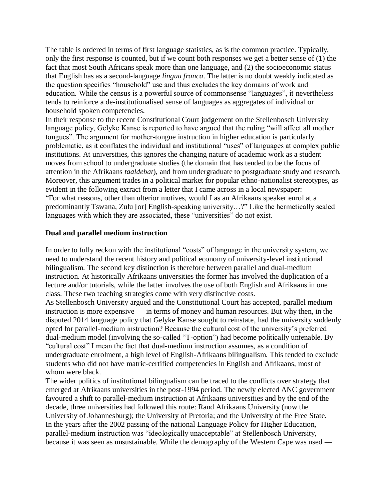The table is ordered in terms of first language statistics, as is the common practice. Typically, only the first response is counted, but if we count both responses we get a better sense of (1) the fact that most South Africans speak more than one language, and (2) the socioeconomic status that English has as a second-language *lingua franca*. The latter is no doubt weakly indicated as the question specifies "household" use and thus excludes the key domains of work and education. While the census is a powerful source of commonsense "languages", it nevertheless tends to reinforce a de-institutionalised sense of languages as aggregates of individual or household spoken competencies.

In their response to the recent Constitutional Court judgement on the Stellenbosch University language policy, Gelyke Kanse is reported to have argued that the ruling "will affect all mother tongues". The argument for mother-tongue instruction in higher education is particularly problematic, as it conflates the individual and institutional "uses" of languages at complex public institutions. At universities, this ignores the changing nature of academic work as a student moves from school to undergraduate studies (the domain that has tended to be the focus of attention in the Afrikaans *taaldebat*), and from undergraduate to postgraduate study and research. Moreover, this argument trades in a political market for popular ethno-nationalist stereotypes, as evident in the following extract from a letter that I came across in a local newspaper: "For what reasons, other than ulterior motives, would I as an Afrikaans speaker enrol at a predominantly Tswana, Zulu [or] English-speaking university…?" Like the hermetically sealed languages with which they are associated, these "universities" do not exist.

#### **Dual and parallel medium instruction**

In order to fully reckon with the institutional "costs" of language in the university system, we need to understand the recent history and political economy of university-level institutional bilingualism. The second key distinction is therefore between parallel and dual-medium instruction. At historically Afrikaans universities the former has involved the duplication of a lecture and/or tutorials, while the latter involves the use of both English and Afrikaans in one class. These two teaching strategies come with very distinctive costs.

As Stellenbosch University argued and the Constitutional Court has accepted, parallel medium instruction is more expensive — in terms of money and human resources. But why then, in the disputed 2014 language policy that Gelyke Kanse sought to reinstate, had the university suddenly opted for parallel-medium instruction? Because the cultural cost of the university"s preferred dual-medium model (involving the so-called "T-option") had become politically untenable. By "cultural cost" I mean the fact that dual-medium instruction assumes, as a condition of undergraduate enrolment, a high level of English-Afrikaans bilingualism. This tended to exclude students who did not have matric-certified competencies in English and Afrikaans, most of whom were black.

The wider politics of institutional bilingualism can be traced to the conflicts over strategy that emerged at Afrikaans universities in the post-1994 period. The newly elected ANC government favoured a shift to parallel-medium instruction at Afrikaans universities and by the end of the decade, three universities had followed this route: Rand Afrikaans University (now the University of Johannesburg); the University of Pretoria; and the University of the Free State. In the years after the 2002 passing of the national Language Policy for Higher Education, parallel-medium instruction was "ideologically unacceptable" at Stellenbosch University, because it was seen as unsustainable. While the demography of the Western Cape was used —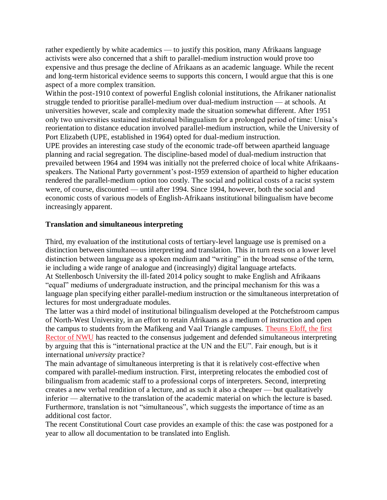rather expediently by white academics — to justify this position, many Afrikaans language activists were also concerned that a shift to parallel-medium instruction would prove too expensive and thus presage the decline of Afrikaans as an academic language. While the recent and long-term historical evidence seems to supports this concern, I would argue that this is one aspect of a more complex transition.

Within the post-1910 context of powerful English colonial institutions, the Afrikaner nationalist struggle tended to prioritise parallel-medium over dual-medium instruction — at schools. At universities however, scale and complexity made the situation somewhat different. After 1951 only two universities sustained institutional bilingualism for a prolonged period of time: Unisa"s reorientation to distance education involved parallel-medium instruction, while the University of Port Elizabeth (UPE, established in 1964) opted for dual-medium instruction.

UPE provides an interesting case study of the economic trade-off between apartheid language planning and racial segregation. The discipline-based model of dual-medium instruction that prevailed between 1964 and 1994 was initially not the preferred choice of local white Afrikaansspeakers. The National Party government's post-1959 extension of apartheid to higher education rendered the parallel-medium option too costly. The social and political costs of a racist system were, of course, discounted — until after 1994. Since 1994, however, both the social and economic costs of various models of English-Afrikaans institutional bilingualism have become increasingly apparent.

#### **Translation and simultaneous interpreting**

Third, my evaluation of the institutional costs of tertiary-level language use is premised on a distinction between simultaneous interpreting and translation. This in turn rests on a lower level distinction between language as a spoken medium and "writing" in the broad sense of the term, ie including a wide range of analogue and (increasingly) digital language artefacts.

At Stellenbosch University the ill-fated 2014 policy sought to make English and Afrikaans "equal" mediums of undergraduate instruction, and the principal mechanism for this was a language plan specifying either parallel-medium instruction or the simultaneous interpretation of lectures for most undergraduate modules.

The latter was a third model of institutional bilingualism developed at the Potchefstroom campus of North-West University, in an effort to retain Afrikaans as a medium of instruction and open the campus to students from the Mafikeng and Vaal Triangle campuses. [Theuns Eloff, the first](https://www.politicsweb.co.za/politicsweb/page/en/news-and-analysis/the-constitutional-court-and-gelyke-kanse-what-hap)  [Rector of NWU](https://www.politicsweb.co.za/politicsweb/page/en/news-and-analysis/the-constitutional-court-and-gelyke-kanse-what-hap) has reacted to the consensus judgement and defended simultaneous interpreting by arguing that this is "international practice at the UN and the EU". Fair enough, but is it international *university* practice?

The main advantage of simultaneous interpreting is that it is relatively cost-effective when compared with parallel-medium instruction. First, interpreting relocates the embodied cost of bilingualism from academic staff to a professional corps of interpreters. Second, interpreting creates a new verbal rendition of a lecture, and as such it also a cheaper — but qualitatively inferior — alternative to the translation of the academic material on which the lecture is based. Furthermore, translation is not "simultaneous", which suggests the importance of time as an additional cost factor.

The recent Constitutional Court case provides an example of this: the case was postponed for a year to allow all documentation to be translated into English.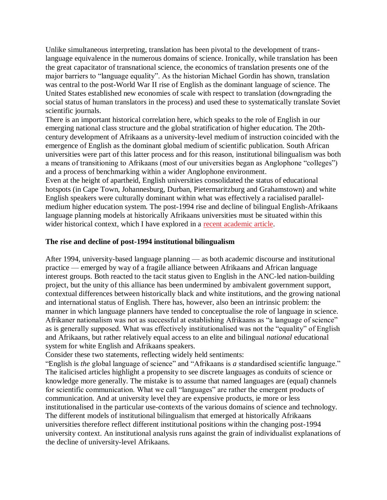Unlike simultaneous interpreting, translation has been pivotal to the development of translanguage equivalence in the numerous domains of science. Ironically, while translation has been the great capacitator of transnational science, the economics of translation presents one of the major barriers to "language equality". As the historian Michael Gordin has shown, translation was central to the post-World War II rise of English as the dominant language of science. The United States established new economies of scale with respect to translation (downgrading the social status of human translators in the process) and used these to systematically translate Soviet scientific journals.

There is an important historical correlation here, which speaks to the role of English in our emerging national class structure and the global stratification of higher education. The 20thcentury development of Afrikaans as a university-level medium of instruction coincided with the emergence of English as the dominant global medium of scientific publication. South African universities were part of this latter process and for this reason, institutional bilingualism was both a means of transitioning to Afrikaans (most of our universities began as Anglophone "colleges") and a process of benchmarking within a wider Anglophone environment.

Even at the height of apartheid, English universities consolidated the status of educational hotspots (in Cape Town, Johannesburg, Durban, Pietermaritzburg and Grahamstown) and white English speakers were culturally dominant within what was effectively a racialised parallelmedium higher education system. The post-1994 rise and decline of bilingual English-Afrikaans language planning models at historically Afrikaans universities must be situated within this wider historical context, which I have explored in a [recent academic article.](https://edu.uhk.cz/africa/index.php/ModAfr/article/view/263)

## **The rise and decline of post-1994 institutional bilingualism**

After 1994, university-based language planning — as both academic discourse and institutional practice — emerged by way of a fragile alliance between Afrikaans and African language interest groups. Both reacted to the tacit status given to English in the ANC-led nation-building project, but the unity of this alliance has been undermined by ambivalent government support, contextual differences between historically black and white institutions, and the growing national and international status of English. There has, however, also been an intrinsic problem: the manner in which language planners have tended to conceptualise the role of language in science. Afrikaner nationalism was not as successful at establishing Afrikaans as "a language of science" as is generally supposed. What was effectively institutionalised was not the "equality" of English and Afrikaans, but rather relatively equal access to an elite and bilingual *national* educational system for white English and Afrikaans speakers.

Consider these two statements, reflecting widely held sentiments:

"English is *the* global language of science" and "Afrikaans is *a* standardised scientific language." The italicised articles highlight a propensity to see discrete languages as conduits of science or knowledge more generally. The mistake is to assume that named languages are (equal) channels for scientific communication. What we call "languages" are rather the emergent products of communication. And at university level they are expensive products, ie more or less institutionalised in the particular use-contexts of the various domains of science and technology. The different models of institutional bilingualism that emerged at historically Afrikaans universities therefore reflect different institutional positions within the changing post-1994 university context. An institutional analysis runs against the grain of individualist explanations of the decline of university-level Afrikaans.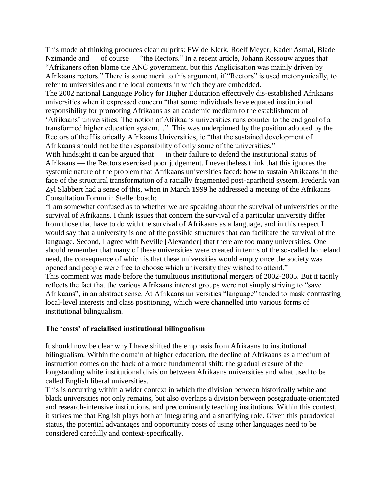This mode of thinking produces clear culprits: FW de Klerk, Roelf Meyer, Kader Asmal, Blade Nzimande and — of course — "the Rectors." In a recent article, Johann Rossouw argues that "Afrikaners often blame the ANC government, but this Anglicisation was mainly driven by Afrikaans rectors." There is some merit to this argument, if "Rectors" is used metonymically, to refer to universities and the local contexts in which they are embedded.

The 2002 national Language Policy for Higher Education effectively dis-established Afrikaans universities when it expressed concern "that some individuals have equated institutional responsibility for promoting Afrikaans as an academic medium to the establishment of "Afrikaans" universities. The notion of Afrikaans universities runs counter to the end goal of a transformed higher education system…". This was underpinned by the position adopted by the Rectors of the Historically Afrikaans Universities, ie "that the sustained development of Afrikaans should not be the responsibility of only some of the universities."

With hindsight it can be argued that — in their failure to defend the institutional status of Afrikaans — the Rectors exercised poor judgement. I nevertheless think that this ignores the systemic nature of the problem that Afrikaans universities faced: how to sustain Afrikaans in the face of the structural transformation of a racially fragmented post-apartheid system. Frederik van Zyl Slabbert had a sense of this, when in March 1999 he addressed a meeting of the Afrikaans Consultation Forum in Stellenbosch:

"I am somewhat confused as to whether we are speaking about the survival of universities or the survival of Afrikaans. I think issues that concern the survival of a particular university differ from those that have to do with the survival of Afrikaans as a language, and in this respect I would say that a university is one of the possible structures that can facilitate the survival of the language. Second, I agree with Neville [Alexander] that there are too many universities. One should remember that many of these universities were created in terms of the so-called homeland need, the consequence of which is that these universities would empty once the society was opened and people were free to choose which university they wished to attend." This comment was made before the tumultuous institutional mergers of 2002-2005. But it tacitly reflects the fact that the various Afrikaans interest groups were not simply striving to "save Afrikaans", in an abstract sense. At Afrikaans universities "language" tended to mask contrasting local-level interests and class positioning, which were channelled into various forms of institutional bilingualism.

#### **The 'costs' of racialised institutional bilingualism**

It should now be clear why I have shifted the emphasis from Afrikaans to institutional bilingualism. Within the domain of higher education, the decline of Afrikaans as a medium of instruction comes on the back of a more fundamental shift: the gradual erasure of the longstanding white institutional division between Afrikaans universities and what used to be called English liberal universities.

This is occurring within a wider context in which the division between historically white and black universities not only remains, but also overlaps a division between postgraduate-orientated and research-intensive institutions, and predominantly teaching institutions. Within this context, it strikes me that English plays both an integrating and a stratifying role. Given this paradoxical status, the potential advantages and opportunity costs of using other languages need to be considered carefully and context-specifically.